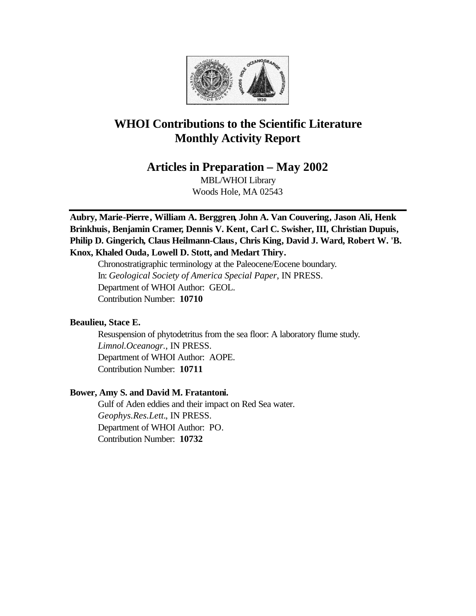

# **WHOI Contributions to the Scientific Literature Monthly Activity Report**

**Articles in Preparation – May 2002**

MBL/WHOI Library Woods Hole, MA 02543

**Aubry, Marie-Pierre, William A. Berggren, John A. Van Couvering, Jason Ali, Henk Brinkhuis, Benjamin Cramer, Dennis V. Kent, Carl C. Swisher, III, Christian Dupuis, Philip D. Gingerich, Claus Heilmann-Claus, Chris King, David J. Ward, Robert W. 'B. Knox, Khaled Ouda, Lowell D. Stott, and Medart Thiry.**

Chronostratigraphic terminology at the Paleocene/Eocene boundary. In: *Geological Society of America Special Paper*, IN PRESS. Department of WHOI Author: GEOL. Contribution Number: **10710**

## **Beaulieu, Stace E.**

Resuspension of phytodetritus from the sea floor: A laboratory flume study. *Limnol.Oceanogr.*, IN PRESS. Department of WHOI Author: AOPE. Contribution Number: **10711**

## **Bower, Amy S. and David M. Fratantoni.**

Gulf of Aden eddies and their impact on Red Sea water. *Geophys.Res.Lett.*, IN PRESS. Department of WHOI Author: PO. Contribution Number: **10732**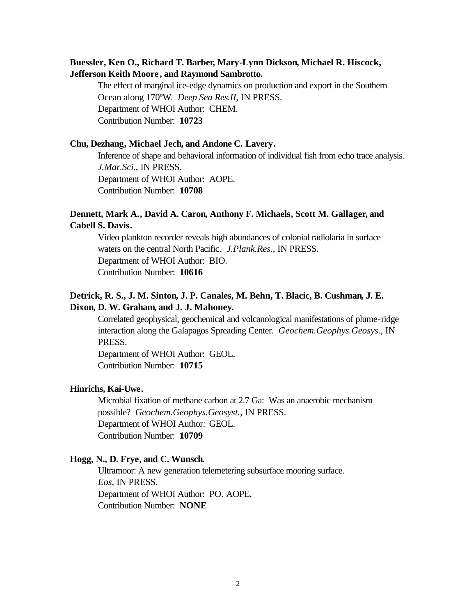# **Buessler, Ken O., Richard T. Barber, Mary-Lynn Dickson, Michael R. Hiscock, Jefferson Keith Moore , and Raymond Sambrotto.**

The effect of marginal ice-edge dynamics on production and export in the Southern Ocean along 170ºW. *Deep Sea Res.II*, IN PRESS. Department of WHOI Author: CHEM. Contribution Number: **10723**

#### **Chu, Dezhang, Michael Jech, and Andone C. Lavery.**

Inference of shape and behavioral information of individual fish from echo trace analysis. *J.Mar.Sci.*, IN PRESS. Department of WHOI Author: AOPE. Contribution Number: **10708**

## **Dennett, Mark A., David A. Caron, Anthony F. Michaels, Scott M. Gallager, and Cabell S. Davis.**

Video plankton recorder reveals high abundances of colonial radiolaria in surface waters on the central North Pacific. *J.Plank.Res.*, IN PRESS. Department of WHOI Author: BIO. Contribution Number: **10616**

# **Detrick, R. S., J. M. Sinton, J. P. Canales, M. Behn, T. Blacic, B. Cushman, J. E. Dixon, D. W. Graham, and J. J. Mahoney.**

Correlated geophysical, geochemical and volcanological manifestations of plume-ridge interaction along the Galapagos Spreading Center. *Geochem.Geophys.Geosys.*, IN PRESS.

Department of WHOI Author: GEOL. Contribution Number: **10715**

## **Hinrichs, Kai-Uwe.**

Microbial fixation of methane carbon at 2.7 Ga: Was an anaerobic mechanism possible? *Geochem.Geophys.Geosyst.,* IN PRESS. Department of WHOI Author: GEOL. Contribution Number: **10709**

#### **Hogg, N., D. Frye, and C. Wunsch.**

Ultramoor: A new generation telemetering subsurface mooring surface. *Eos*, IN PRESS. Department of WHOI Author: PO. AOPE. Contribution Number: **NONE**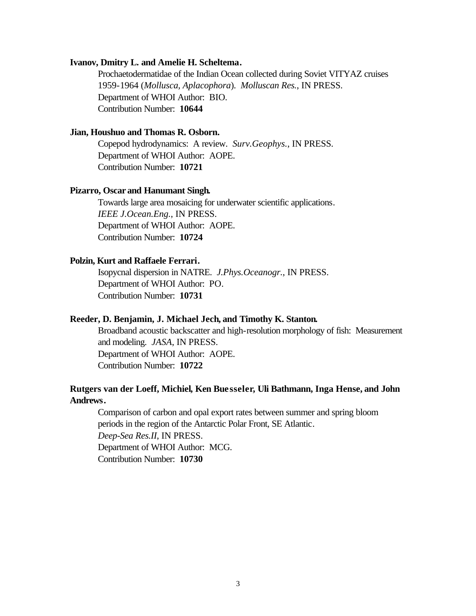#### **Ivanov, Dmitry L. and Amelie H. Scheltema.**

Prochaetodermatidae of the Indian Ocean collected during Soviet VITYAZ cruises 1959-1964 (*Mollusca, Aplacophora*). *Molluscan Res.*, IN PRESS. Department of WHOI Author: BIO. Contribution Number: **10644**

#### **Jian, Houshuo and Thomas R. Osborn.**

Copepod hydrodynamics: A review. *Surv.Geophys.*, IN PRESS. Department of WHOI Author: AOPE. Contribution Number: **10721**

#### **Pizarro, Oscar and Hanumant Singh.**

Towards large area mosaicing for underwater scientific applications. *IEEE J.Ocean.Eng.*, IN PRESS. Department of WHOI Author: AOPE. Contribution Number: **10724**

## **Polzin, Kurt and Raffaele Ferrari.**

Isopycnal dispersion in NATRE. *J.Phys.Oceanogr.*, IN PRESS. Department of WHOI Author: PO. Contribution Number: **10731**

## **Reeder, D. Benjamin, J. Michael Jech, and Timothy K. Stanton.**

Broadband acoustic backscatter and high-resolution morphology of fish: Measurement and modeling. *JASA*, IN PRESS. Department of WHOI Author: AOPE. Contribution Number: **10722**

## **Rutgers van der Loeff, Michiel, Ken Buesseler, Uli Bathmann, Inga Hense, and John Andrews.**

Comparison of carbon and opal export rates between summer and spring bloom periods in the region of the Antarctic Polar Front, SE Atlantic. *Deep-Sea Res.II*, IN PRESS. Department of WHOI Author: MCG. Contribution Number: **10730**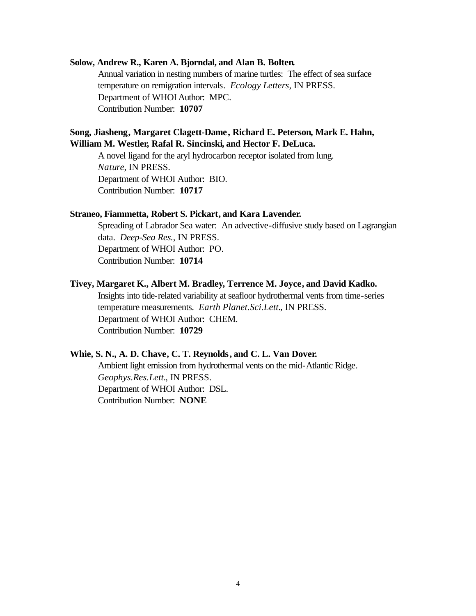#### **Solow, Andrew R., Karen A. Bjorndal, and Alan B. Bolten.**

Annual variation in nesting numbers of marine turtles: The effect of sea surface temperature on remigration intervals. *Ecology Letters*, IN PRESS. Department of WHOI Author: MPC. Contribution Number: **10707**

## **Song, Jiasheng, Margaret Clagett-Dame, Richard E. Peterson, Mark E. Hahn, William M. Westler, Rafal R. Sincinski, and Hector F. DeLuca.**

A novel ligand for the aryl hydrocarbon receptor isolated from lung. *Nature*, IN PRESS. Department of WHOI Author: BIO. Contribution Number: **10717**

#### **Straneo, Fiammetta, Robert S. Pickart, and Kara Lavender.**

Spreading of Labrador Sea water: An advective-diffusive study based on Lagrangian data. *Deep-Sea Res.*, IN PRESS. Department of WHOI Author: PO. Contribution Number: **10714**

#### **Tivey, Margaret K., Albert M. Bradley, Terrence M. Joyce, and David Kadko.**

Insights into tide-related variability at seafloor hydrothermal vents from time-series temperature measurements. *Earth Planet.Sci.Lett.*, IN PRESS. Department of WHOI Author: CHEM. Contribution Number: **10729**

#### **Whie, S. N., A. D. Chave, C. T. Reynolds, and C. L. Van Dover.**

Ambient light emission from hydrothermal vents on the mid-Atlantic Ridge. *Geophys.Res.Lett.*, IN PRESS. Department of WHOI Author: DSL. Contribution Number: **NONE**